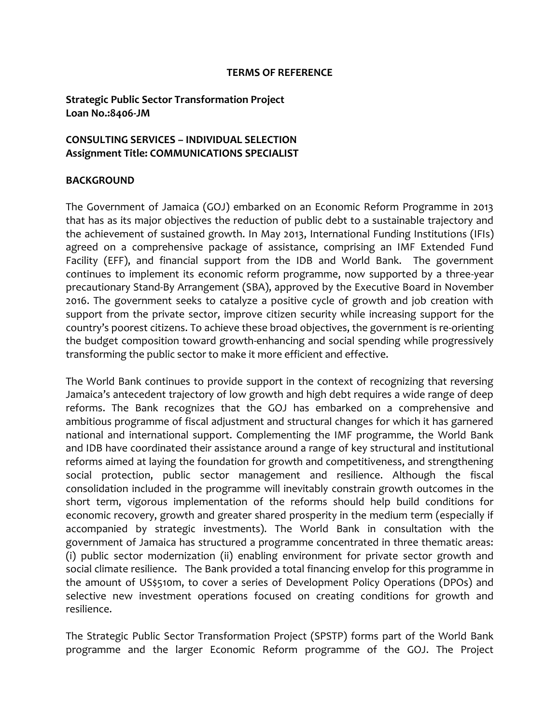#### **TERMS OF REFERENCE**

### **Strategic Public Sector Transformation Project Loan No.:8406-JM**

#### **CONSULTING SERVICES – INDIVIDUAL SELECTION Assignment Title: COMMUNICATIONS SPECIALIST**

#### **BACKGROUND**

The Government of Jamaica (GOJ) embarked on an Economic Reform Programme in 2013 that has as its major objectives the reduction of public debt to a sustainable trajectory and the achievement of sustained growth. In May 2013, International Funding Institutions (IFIs) agreed on a comprehensive package of assistance, comprising an IMF Extended Fund Facility (EFF), and financial support from the IDB and World Bank. The government continues to implement its economic reform programme, now supported by a three-year precautionary Stand-By Arrangement (SBA), approved by the Executive Board in November 2016. The government seeks to catalyze a positive cycle of growth and job creation with support from the private sector, improve citizen security while increasing support for the country's poorest citizens. To achieve these broad objectives, the government is re-orienting the budget composition toward growth-enhancing and social spending while progressively transforming the public sector to make it more efficient and effective.

The World Bank continues to provide support in the context of recognizing that reversing Jamaica's antecedent trajectory of low growth and high debt requires a wide range of deep reforms. The Bank recognizes that the GOJ has embarked on a comprehensive and ambitious programme of fiscal adjustment and structural changes for which it has garnered national and international support. Complementing the IMF programme, the World Bank and IDB have coordinated their assistance around a range of key structural and institutional reforms aimed at laying the foundation for growth and competitiveness, and strengthening social protection, public sector management and resilience. Although the fiscal consolidation included in the programme will inevitably constrain growth outcomes in the short term, vigorous implementation of the reforms should help build conditions for economic recovery, growth and greater shared prosperity in the medium term (especially if accompanied by strategic investments). The World Bank in consultation with the government of Jamaica has structured a programme concentrated in three thematic areas: (i) public sector modernization (ii) enabling environment for private sector growth and social climate resilience. The Bank provided a total financing envelop for this programme in the amount of US\$510m, to cover a series of Development Policy Operations (DPOs) and selective new investment operations focused on creating conditions for growth and resilience.

The Strategic Public Sector Transformation Project (SPSTP) forms part of the World Bank programme and the larger Economic Reform programme of the GOJ. The Project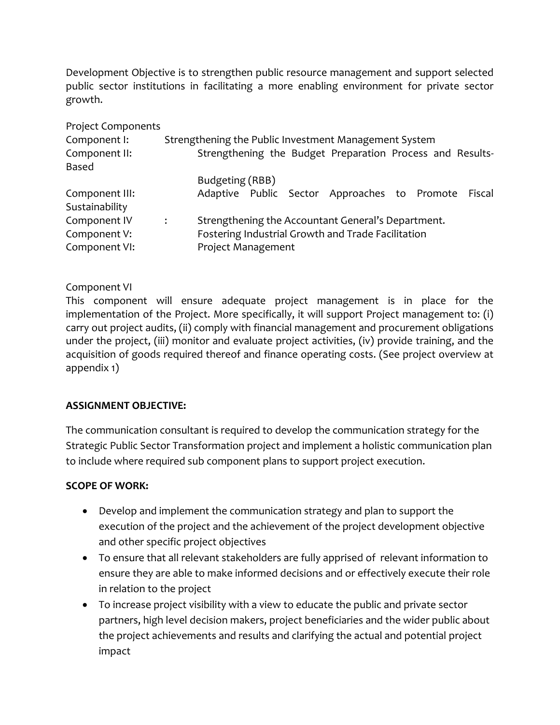Development Objective is to strengthen public resource management and support selected public sector institutions in facilitating a more enabling environment for private sector growth.

| <b>Project Components</b>        |                |                                                           |        |  |
|----------------------------------|----------------|-----------------------------------------------------------|--------|--|
| Component I:                     |                | Strengthening the Public Investment Management System     |        |  |
| Component II:<br>Based           |                | Strengthening the Budget Preparation Process and Results- |        |  |
|                                  |                | Budgeting (RBB)                                           |        |  |
| Component III:<br>Sustainability |                | Adaptive Public Sector Approaches to Promote              | Fiscal |  |
| Component IV                     | $\ddot{\cdot}$ | Strengthening the Accountant General's Department.        |        |  |
| Component V:                     |                | Fostering Industrial Growth and Trade Facilitation        |        |  |
| Component VI:                    |                | Project Management                                        |        |  |

# Component VI

This component will ensure adequate project management is in place for the implementation of the Project. More specifically, it will support Project management to: (i) carry out project audits, (ii) comply with financial management and procurement obligations under the project, (iii) monitor and evaluate project activities, (iv) provide training, and the acquisition of goods required thereof and finance operating costs. (See project overview at appendix 1)

# **ASSIGNMENT OBJECTIVE:**

The communication consultant is required to develop the communication strategy for the Strategic Public Sector Transformation project and implement a holistic communication plan to include where required sub component plans to support project execution.

### **SCOPE OF WORK:**

- Develop and implement the communication strategy and plan to support the execution of the project and the achievement of the project development objective and other specific project objectives
- To ensure that all relevant stakeholders are fully apprised of relevant information to ensure they are able to make informed decisions and or effectively execute their role in relation to the project
- To increase project visibility with a view to educate the public and private sector partners, high level decision makers, project beneficiaries and the wider public about the project achievements and results and clarifying the actual and potential project impact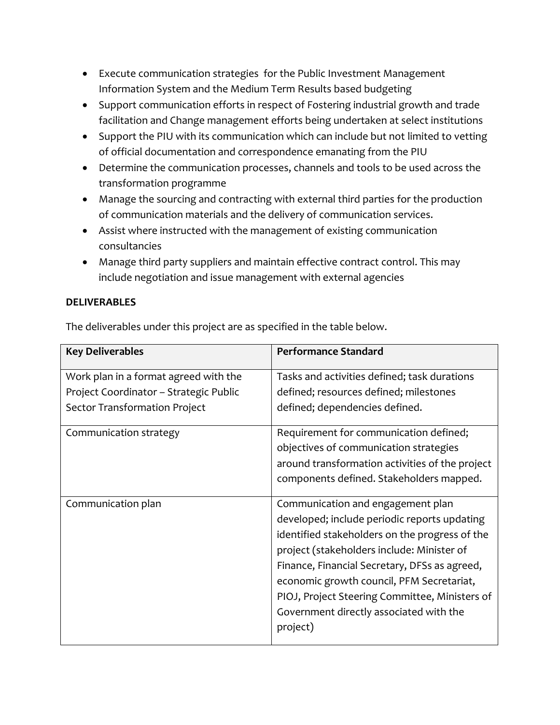- Execute communication strategies for the Public Investment Management Information System and the Medium Term Results based budgeting
- Support communication efforts in respect of Fostering industrial growth and trade facilitation and Change management efforts being undertaken at select institutions
- Support the PIU with its communication which can include but not limited to vetting of official documentation and correspondence emanating from the PIU
- Determine the communication processes, channels and tools to be used across the transformation programme
- Manage the sourcing and contracting with external third parties for the production of communication materials and the delivery of communication services.
- Assist where instructed with the management of existing communication consultancies
- Manage third party suppliers and maintain effective contract control. This may include negotiation and issue management with external agencies

# **DELIVERABLES**

The deliverables under this project are as specified in the table below.

| <b>Key Deliverables</b>                | <b>Performance Standard</b>                     |
|----------------------------------------|-------------------------------------------------|
| Work plan in a format agreed with the  | Tasks and activities defined; task durations    |
| Project Coordinator - Strategic Public | defined; resources defined; milestones          |
| <b>Sector Transformation Project</b>   | defined; dependencies defined.                  |
| Communication strategy                 | Requirement for communication defined;          |
|                                        | objectives of communication strategies          |
|                                        | around transformation activities of the project |
|                                        | components defined. Stakeholders mapped.        |
| Communication plan                     | Communication and engagement plan               |
|                                        | developed; include periodic reports updating    |
|                                        | identified stakeholders on the progress of the  |
|                                        | project (stakeholders include: Minister of      |
|                                        | Finance, Financial Secretary, DFSs as agreed,   |
|                                        | economic growth council, PFM Secretariat,       |
|                                        | PIOJ, Project Steering Committee, Ministers of  |
|                                        | Government directly associated with the         |
|                                        | project)                                        |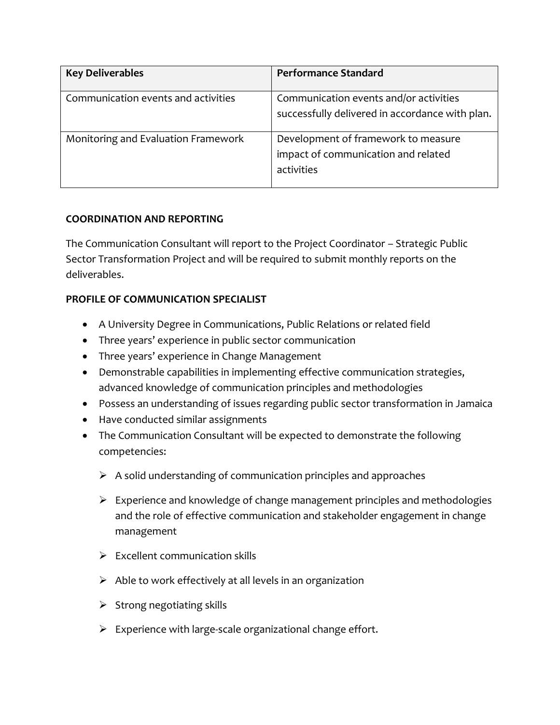| <b>Key Deliverables</b>             | <b>Performance Standard</b>                                                               |
|-------------------------------------|-------------------------------------------------------------------------------------------|
| Communication events and activities | Communication events and/or activities<br>successfully delivered in accordance with plan. |
| Monitoring and Evaluation Framework | Development of framework to measure<br>impact of communication and related<br>activities  |

# **COORDINATION AND REPORTING**

The Communication Consultant will report to the Project Coordinator – Strategic Public Sector Transformation Project and will be required to submit monthly reports on the deliverables.

# **PROFILE OF COMMUNICATION SPECIALIST**

- A University Degree in Communications, Public Relations or related field
- Three years' experience in public sector communication
- Three years' experience in Change Management
- Demonstrable capabilities in implementing effective communication strategies, advanced knowledge of communication principles and methodologies
- Possess an understanding of issues regarding public sector transformation in Jamaica
- Have conducted similar assignments
- The Communication Consultant will be expected to demonstrate the following competencies:
	- $\triangleright$  A solid understanding of communication principles and approaches
	- $\triangleright$  Experience and knowledge of change management principles and methodologies and the role of effective communication and stakeholder engagement in change management
	- $\triangleright$  Excellent communication skills
	- $\triangleright$  Able to work effectively at all levels in an organization
	- $\triangleright$  Strong negotiating skills
	- $\triangleright$  Experience with large-scale organizational change effort.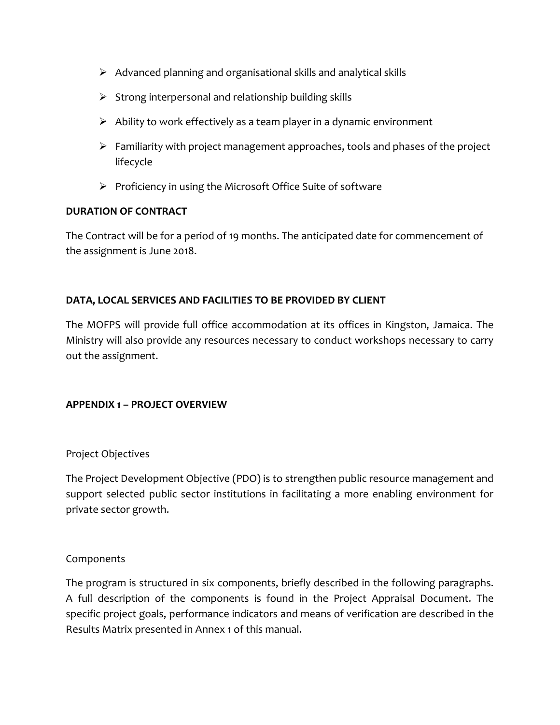- $\triangleright$  Advanced planning and organisational skills and analytical skills
- $\triangleright$  Strong interpersonal and relationship building skills
- $\triangleright$  Ability to work effectively as a team player in a dynamic environment
- $\triangleright$  Familiarity with project management approaches, tools and phases of the project lifecycle
- $\triangleright$  Proficiency in using the Microsoft Office Suite of software

### **DURATION OF CONTRACT**

The Contract will be for a period of 19 months. The anticipated date for commencement of the assignment is June 2018.

# **DATA, LOCAL SERVICES AND FACILITIES TO BE PROVIDED BY CLIENT**

The MOFPS will provide full office accommodation at its offices in Kingston, Jamaica. The Ministry will also provide any resources necessary to conduct workshops necessary to carry out the assignment.

### **APPENDIX 1 – PROJECT OVERVIEW**

### Project Objectives

The Project Development Objective (PDO) is to strengthen public resource management and support selected public sector institutions in facilitating a more enabling environment for private sector growth.

### **Components**

The program is structured in six components, briefly described in the following paragraphs. A full description of the components is found in the Project Appraisal Document. The specific project goals, performance indicators and means of verification are described in the Results Matrix presented in Annex 1 of this manual.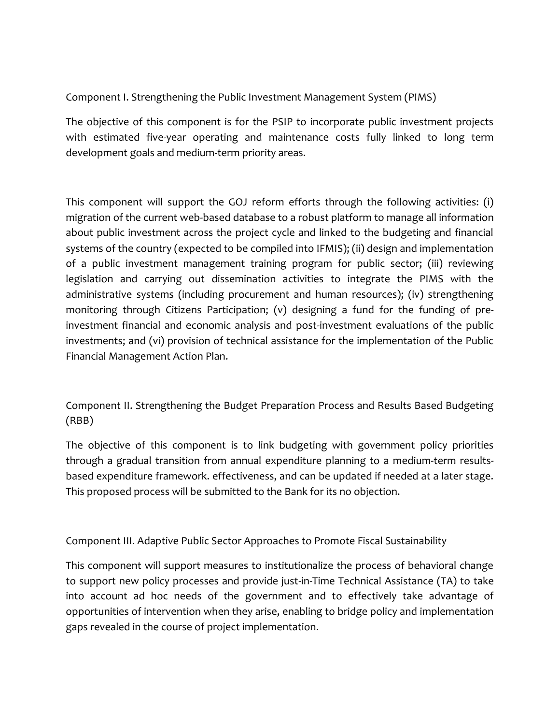Component I. Strengthening the Public Investment Management System (PIMS)

The objective of this component is for the PSIP to incorporate public investment projects with estimated five-year operating and maintenance costs fully linked to long term development goals and medium-term priority areas.

This component will support the GOJ reform efforts through the following activities: (i) migration of the current web-based database to a robust platform to manage all information about public investment across the project cycle and linked to the budgeting and financial systems of the country (expected to be compiled into IFMIS); (ii) design and implementation of a public investment management training program for public sector; (iii) reviewing legislation and carrying out dissemination activities to integrate the PIMS with the administrative systems (including procurement and human resources); (iv) strengthening monitoring through Citizens Participation; (v) designing a fund for the funding of preinvestment financial and economic analysis and post-investment evaluations of the public investments; and (vi) provision of technical assistance for the implementation of the Public Financial Management Action Plan.

Component II. Strengthening the Budget Preparation Process and Results Based Budgeting (RBB)

The objective of this component is to link budgeting with government policy priorities through a gradual transition from annual expenditure planning to a medium-term resultsbased expenditure framework. effectiveness, and can be updated if needed at a later stage. This proposed process will be submitted to the Bank for its no objection.

Component III. Adaptive Public Sector Approaches to Promote Fiscal Sustainability

This component will support measures to institutionalize the process of behavioral change to support new policy processes and provide just-in-Time Technical Assistance (TA) to take into account ad hoc needs of the government and to effectively take advantage of opportunities of intervention when they arise, enabling to bridge policy and implementation gaps revealed in the course of project implementation.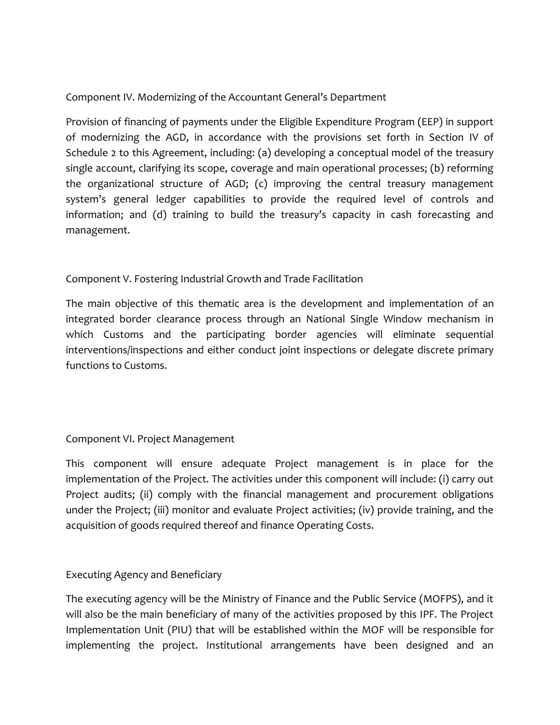# Component IV. Modernizing of the Accountant General's Department

Provision of financing of payments under the Eligible Expenditure Program (EEP) in support of modernizing the AGD, in accordance with the provisions set forth in Section IV of Schedule 2 to this Agreement, including: (a) developing a conceptual model of the treasury single account, clarifying its scope, coverage and main operational processes; (b) reforming the organizational structure of AGD; (c) improving the central treasury management system's general ledger capabilities to provide the required level of controls and information; and (d) training to build the treasury's capacity in cash forecasting and management.

### Component V. Fostering Industrial Growth and Trade Facilitation

The main objective of this thematic area is the development and implementation of an integrated border clearance process through an National Single Window mechanism in which Customs and the participating border agencies will eliminate sequential interventions/inspections and either conduct joint inspections or delegate discrete primary functions to Customs.

# Component VI. Project Management

This component will ensure adequate Project management is in place for the implementation of the Project. The activities under this component will include: (i) carry out Project audits; (ii) comply with the financial management and procurement obligations under the Project; (iii) monitor and evaluate Project activities; (iv) provide training, and the acquisition of goods required thereof and finance Operating Costs.

### Executing Agency and Beneficiary

The executing agency will be the Ministry of Finance and the Public Service (MOFPS), and it will also be the main beneficiary of many of the activities proposed by this IPF. The Project Implementation Unit (PIU) that will be established within the MOF will be responsible for implementing the project. Institutional arrangements have been designed and an